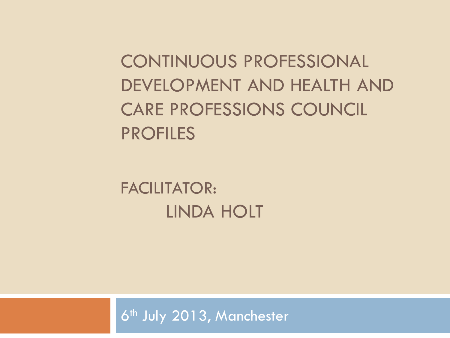CONTINUOUS PROFESSIONAL DEVELOPMENT AND HEALTH AND CARE PROFESSIONS COUNCIL PROFILES

FACILITATOR: LINDA HOLT

6<sup>th</sup> July 2013, Manchester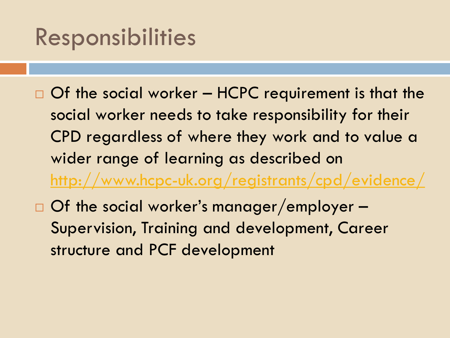#### Responsibilities

- $\Box$  Of the social worker HCPC requirement is that the social worker needs to take responsibility for their CPD regardless of where they work and to value a wider range of learning as described on <http://www.hcpc-uk.org/registrants/cpd/evidence/>
- □ Of the social worker's manager/employer Supervision, Training and development, Career structure and PCF development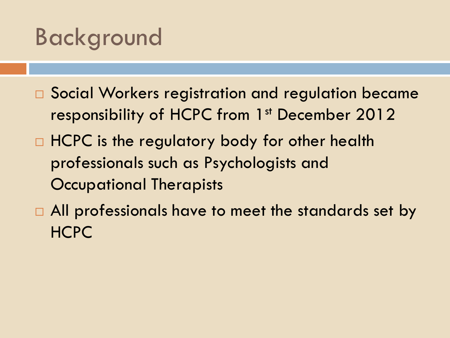#### Background

- □ Social Workers registration and regulation became responsibility of HCPC from 1<sup>st</sup> December 2012
- □ HCPC is the regulatory body for other health professionals such as Psychologists and Occupational Therapists
- □ All professionals have to meet the standards set by HCPC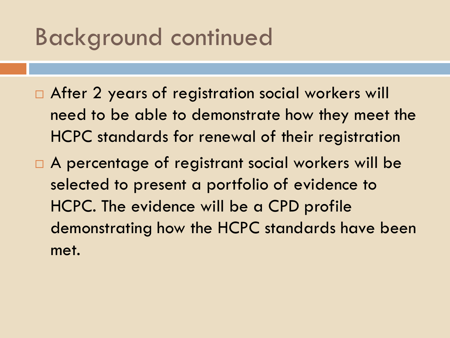#### Background continued

- □ After 2 years of registration social workers will need to be able to demonstrate how they meet the HCPC standards for renewal of their registration
- □ A percentage of registrant social workers will be selected to present a portfolio of evidence to HCPC. The evidence will be a CPD profile demonstrating how the HCPC standards have been met.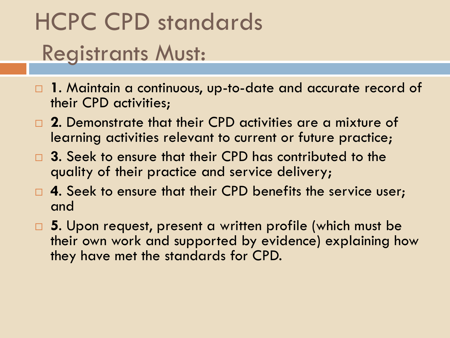## HCPC CPD standards Registrants Must:

- **1**. Maintain a continuous, up-to-date and accurate record of their CPD activities;
- **2**. Demonstrate that their CPD activities are a mixture of learning activities relevant to current or future practice;
- **3**. Seek to ensure that their CPD has contributed to the quality of their practice and service delivery;
- **4**. Seek to ensure that their CPD benefits the service user; and
- **5**. Upon request, present a written profile (which must be their own work and supported by evidence) explaining how they have met the standards for CPD.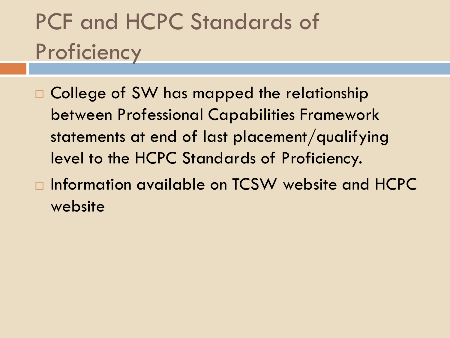## PCF and HCPC Standards of **Proficiency**

- □ College of SW has mapped the relationship between Professional Capabilities Framework statements at end of last placement/qualifying level to the HCPC Standards of Proficiency.
- □ Information available on TCSW website and HCPC website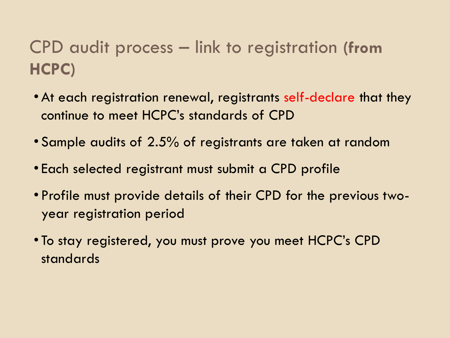#### CPD audit process – link to registration **(from HCPC)**

- •At each registration renewal, registrants self-declare that they continue to meet HCPC's standards of CPD
- Sample audits of 2.5% of registrants are taken at random
- Each selected registrant must submit a CPD profile
- Profile must provide details of their CPD for the previous twoyear registration period
- To stay registered, you must prove you meet HCPC's CPD standards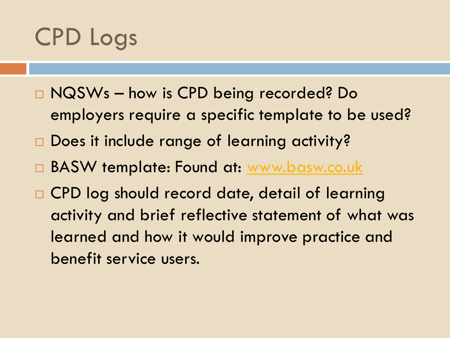## CPD Logs

- NQSWs how is CPD being recorded? Do
	- employers require a specific template to be used?
- □ Does it include range of learning activity?
- □ BASW template: Found at: [www.basw.co.uk](http://www.basw.co.uk/)
- □ CPD log should record date, detail of learning activity and brief reflective statement of what was learned and how it would improve practice and benefit service users.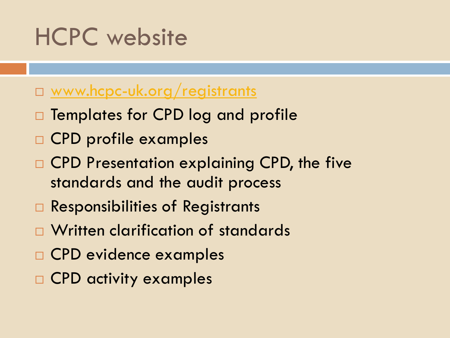### HCPC website

#### □ [www.hcpc-uk.org/registrants](http://www.hcpc-uk.org/registrants)

- $\Box$  Templates for CPD log and profile
- CPD profile examples
- □ CPD Presentation explaining CPD, the five standards and the audit process
- □ Responsibilities of Registrants
- Written clarification of standards
- CPD evidence examples
- CPD activity examples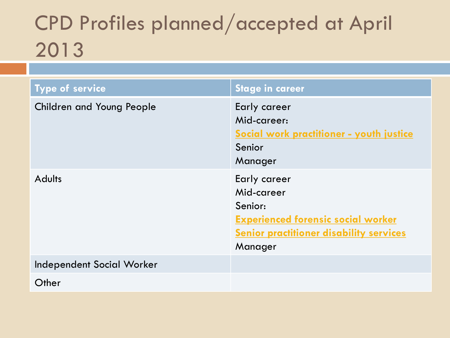#### CPD Profiles planned/accepted at April 2013

| Type of service                  | <b>Stage in career</b>                                                                                                                                 |
|----------------------------------|--------------------------------------------------------------------------------------------------------------------------------------------------------|
| <b>Children and Young People</b> | Early career<br>Mid-career:<br>Social work practitioner - youth justice<br>Senior<br>Manager                                                           |
| <b>Adults</b>                    | Early career<br>Mid-career<br>Senior:<br><b>Experienced forensic social worker</b><br><b><u>Senior practitioner disability services</u></b><br>Manager |
| Independent Social Worker        |                                                                                                                                                        |
| Other                            |                                                                                                                                                        |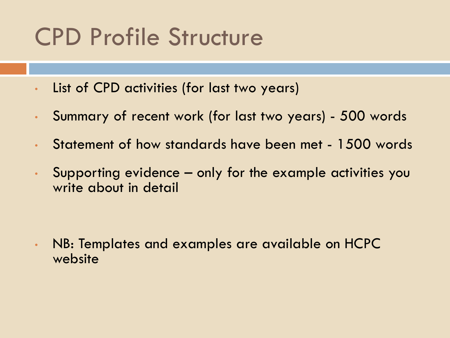### CPD Profile Structure

- List of CPD activities (for last two years)
- Summary of recent work (for last two years) 500 words
- Statement of how standards have been met 1500 words
- Supporting evidence only for the example activities you write about in detail

• NB: Templates and examples are available on HCPC website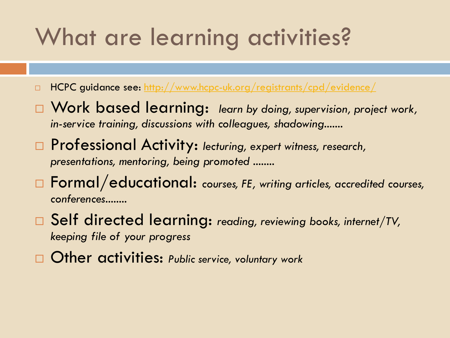### What are learning activities?

- □ HCPC guidance see:<http://www.hcpc-uk.org/registrants/cpd/evidence/>
- □ Work based learning: learn by doing, supervision, project work, *in-service training, discussions with colleagues, shadowing.......*
- Professional Activity: *lecturing, expert witness, research, presentations, mentoring, being promoted ........*
- Formal/educational: *courses, FE, writing articles, accredited courses, conferences........*
- Self directed learning: *reading, reviewing books, internet/TV, keeping file of your progress*
- Other activities: *Public service, voluntary work*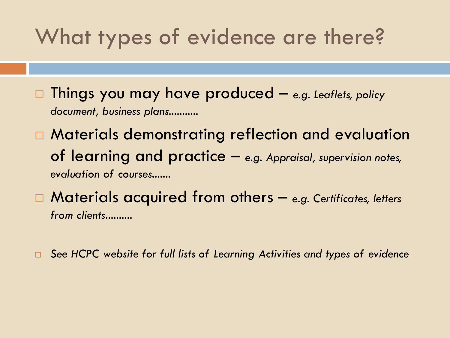#### What types of evidence are there?

 Things you may have produced – *e.g. Leaflets, policy document, business plans...........*

□ Materials demonstrating reflection and evaluation of learning and practice – *e.g. Appraisal, supervision notes, evaluation of courses.......*

 Materials acquired from others – *e.g. Certificates, letters from clients..........*

*See HCPC website for full lists of Learning Activities and types of evidence*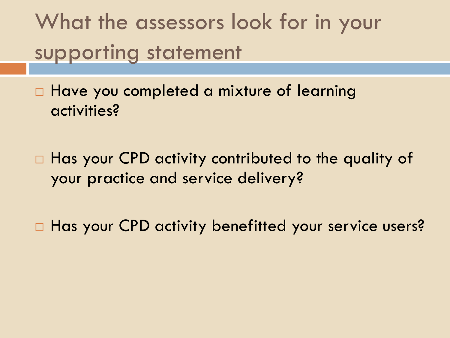What the assessors look for in your supporting statement

□ Have you completed a mixture of learning activities?

□ Has your CPD activity contributed to the quality of your practice and service delivery?

□ Has your CPD activity benefitted your service users?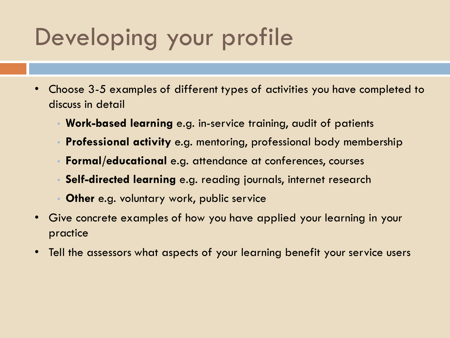### Developing your profile

- Choose 3-5 examples of different types of activities you have completed to discuss in detail
	- **Work-based learning** e.g. in-service training, audit of patients
	- **Professional activity** e.g. mentoring, professional body membership
	- **Formal/educational** e.g. attendance at conferences, courses
	- **Self-directed learning** e.g. reading journals, internet research
	- **Other** e.g. voluntary work, public service
- Give concrete examples of how you have applied your learning in your practice
- Tell the assessors what aspects of your learning benefit your service users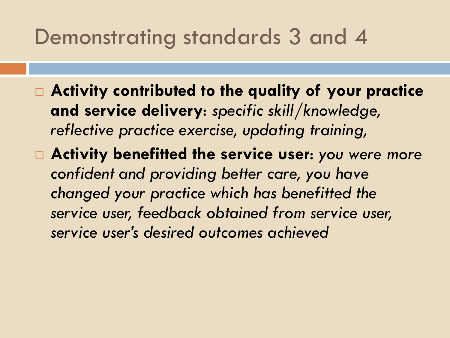#### Demonstrating standards 3 and 4

- **Activity contributed to the quality of your practice and service delivery**: *specific skill/knowledge, reflective practice exercise, updating training,*
- **Activity benefitted the service user**: *you were more confident and providing better care, you have changed your practice which has benefitted the service user, feedback obtained from service user, service user's desired outcomes achieved*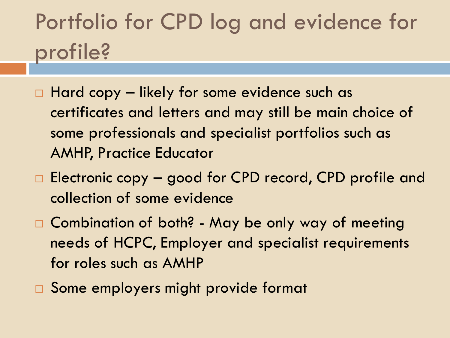### Portfolio for CPD log and evidence for profile?

- $\Box$  Hard copy likely for some evidence such as certificates and letters and may still be main choice of some professionals and specialist portfolios such as AMHP, Practice Educator
- □ Electronic copy good for CPD record, CPD profile and collection of some evidence
- □ Combination of both? May be only way of meeting needs of HCPC, Employer and specialist requirements for roles such as AMHP
- □ Some employers might provide format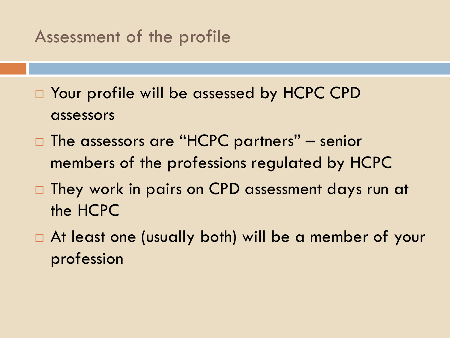#### Assessment of the profile

- □ Your profile will be assessed by HCPC CPD assessors
- $\Box$  The assessors are "HCPC partners" senior members of the professions regulated by HCPC
- $\Box$  They work in pairs on CPD assessment days run at the HCPC
- At least one (usually both) will be a member of your profession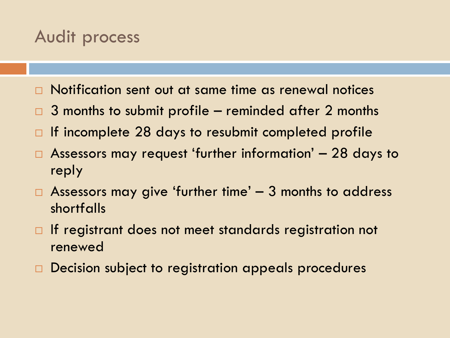#### Audit process

- Notification sent out at same time as renewal notices
- $\Box$  3 months to submit profile reminded after 2 months
- $\Box$  If incomplete 28 days to resubmit completed profile
- Assessors may request 'further information' 28 days to reply
- $\Box$  Assessors may give 'further time'  $-$  3 months to address shortfalls
- $\Box$  If registrant does not meet standards registration not renewed
- □ Decision subject to registration appeals procedures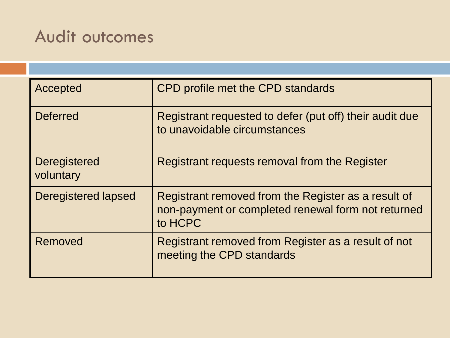#### Audit outcomes

| Accepted                         | CPD profile met the CPD standards                                                                                    |
|----------------------------------|----------------------------------------------------------------------------------------------------------------------|
| <b>Deferred</b>                  | Registrant requested to defer (put off) their audit due<br>to unavoidable circumstances                              |
| <b>Deregistered</b><br>voluntary | Registrant requests removal from the Register                                                                        |
| Deregistered lapsed              | Registrant removed from the Register as a result of<br>non-payment or completed renewal form not returned<br>to HCPC |
| Removed                          | Registrant removed from Register as a result of not<br>meeting the CPD standards                                     |